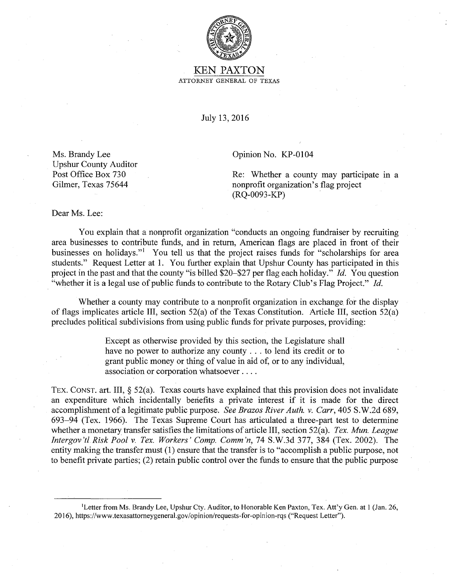

## KEN PAXTON ATTORNEY GENERAL OF TEXAS

July 13, 2016

Ms. Brandy Lee Upshur County Auditor Post Office Box 730 Gilmer, Texas 75644

Opinion No. KP-0104

Re: Whether a county may participate in a nonprofit organization's flag project (RQ-0093-KP)

Dear Ms. Lee:

You explain that a nonprofit organization "conducts an ongoing fundraiser by recruiting area businesses to contribute funds, and in return, American flags are placed in front of their businesses on holidays."<sup>1</sup> You tell us that the project raises funds for "scholarships for area students." Request Letter at 1. You further explain that Upshur County has participated in this project in the past and that the county "is billed \$20-\$27 per flag each holiday." *Id.* You question "whether it is a legal use of public funds to contribute to the Rotary Club's Flag Project." *Id.* 

Whether a county may contribute to a nonprofit organization in exchange for the display of flags implicates article III, section 52(a) of the Texas Constitution. Article III, section 52(a) precludes political subdivisions from using public funds for private purposes, providing:

> Except as otherwise provided by this section, the Legislature shall have no power to authorize any county ... to lend its credit or to grant public money or thing of value in aid of, or to any individual, association or corporation whatsoever ....

TEX. CONST. art. III, § 52(a). Texas courts have explained that this provision does not invalidate an expenditure which incidentally beriefits a private interest if it is made for the direct accomplishment of a legitimate public purpose. *See Brazos River Auth. v. Carr,* 405 S.W.2d 689, 693-94 (Tex. 1966). The Texas Supreme Court has articulated a three-part test to determine whether a monetary transfer satisfies the limitations of article III, section 52(a). *Tex. Mun. League Intergov 'ti. Risk Pool v. Tex. Workers' Comp. Comm 'n,* 74 S.W.3d 377, 384 (Tex. 2002). The entity making the transfer must (1) ensure that the transfer is to "accomplish a public purpose, not to benefit private parties; (2) retain public control over the funds to ensure that the public purpose

<sup>&</sup>lt;sup>1</sup> Letter from Ms. Brandy Lee, Upshur Cty. Auditor, to Honorable Ken Paxton, Tex. Att'y Gen. at 1 (Jan. 26, 2016), https://www.texasattorneygeneral.gov/opinion/requests-for-opinion-rqs ("Request Letter").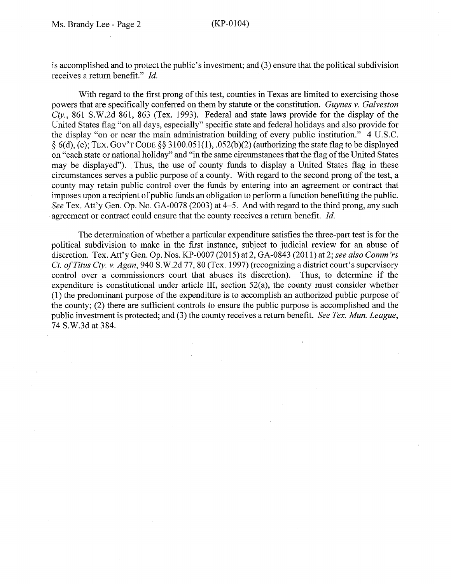is accomplished and to protect the public's investment; and (3) ensure that the political subdivision receives a return benefit." *Id.* 

With regard to the first prong of this test, counties in Texas are limited to exercising those powers that are specifically conferred on them by statute or the constitution. *Guynes v. Galveston Cty.,* 861 S.W.2d 861, 863 (Tex. 1993). Federal and state laws provide for the display of the United States flag "on all days, especially" specific state and federal holidays and also provide for the display "on or near the main administration building of every public institution." 4 U.S.C. § 6(d), (e); TEX. Gov'TCODE §§ 3100.051(1), .052(b)(2) (authorizing the state flag to be displayed on "each state or national holiday" and "in the same circumstances that the flag of the United States may be displayed"). Thus, the use of county funds to display a United States flag in these circumstances serves a public purpose of a county. With regard to the second prong of the test, a county may retain public control over the funds by entering into an agreement or contract that imposes upon a recipient of public funds an obligation to perform a function benefitting the public. *See* Tex. Att'y Gen. Op. No. GA-0078 (2003) at 4-5. And with regard to the third prong, any such agreement or contract could ensure that the county receives a return benefit. *Id.* 

The determination of whether a particular expenditure satisfies the three-part test is for the political subdivision to make in the first instance, subject to judicial review for an abuse of discretion. Tex. Att'y Gen. Op. Nos. KP-0007 (2015) at 2, GA-0843 (2011) at 2; see also Comm'rs *Ct. of Titus Cty. v. Agan,* 940 S.W.2d 77, 80 (Tex. 1997) (recognizing a district court's supervisory control over a commissioners court that abuses its discretion). Thus, to determine if the expenditure is constitutional under article III, section 52(a), the county must consider whether (1) the predominant purpose of the expenditure is to accomplish an authorized public purpose of the county; (2) there are sufficient controls to ensure the public purpose is accomplished and the public investment is protected; and (3) the county receives a return benefit. *See Tex. Mun. League,*  74 S.W.3d at 384.